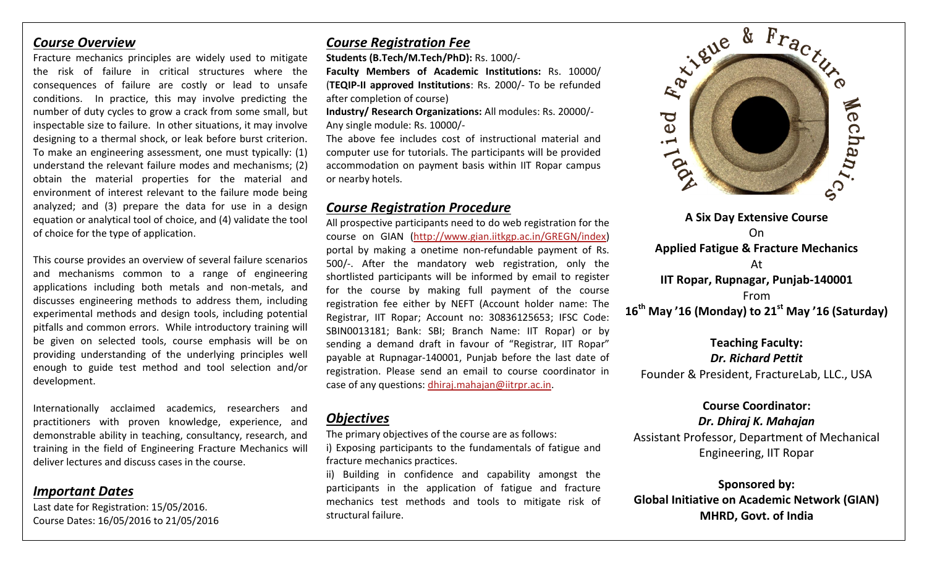### *Course Overview*

Fracture mechanics principles are widely used to mitigate the risk of failure in critical structures where the consequences of failure are costly or lead to unsafe conditions. In practice, this may involve predicting the number of duty cycles to grow a crack from some small, but inspectable size to failure. In other situations, it may involve designing to a thermal shock, or leak before burst criterion. To make an engineering assessment, one must typically: (1) understand the relevant failure modes and mechanisms; (2) obtain the material properties for the material and environment of interest relevant to the failure mode being analyzed; and (3) prepare the data for use in a design equation or analytical tool of choice, and (4) validate the tool of choice for the type of application.

This course provides an overview of several failure scenarios and mechanisms common to a range of engineering applications including both metals and non-metals, and discusses engineering methods to address them, including experimental methods and design tools, including potential pitfalls and common errors. While introductory training will be given on selected tools, course emphasis will be on providing understanding of the underlying principles well enough to guide test method and tool selection and/or development.

Internationally acclaimed academics, researchers and practitioners with proven knowledge, experience, and demonstrable ability in teaching, consultancy, research, and training in the field of Engineering Fracture Mechanics will deliver lectures and discuss cases in the course.

## *Important Dates*

Last date for Registration: 15/05/2016. Course Dates: 16/05/2016 to 21/05/2016

# *Course Registration Fee*

**Students (B.Tech/M.Tech/PhD):** Rs. 1000/-

**Faculty Members of Academic Institutions:** Rs. 10000/ (**TEQIP-II approved Institutions**: Rs. 2000/- To be refunded after completion of course)

**Industry/ Research Organizations:** All modules: Rs. 20000/- Any single module: Rs. 10000/-

The above fee includes cost of instructional material and computer use for tutorials. The participants will be provided accommodation on payment basis within IIT Ropar campus or nearby hotels.

# *Course Registration Procedure*

All prospective participants need to do web registration for the course on GIAN [\(http://www.gian.iitkgp.ac.in/GREGN/index\)](http://www.gian.iitkgp.ac.in/GREGN/index) portal by making a onetime non-refundable payment of Rs. 500/-. After the mandatory web registration, only the shortlisted participants will be informed by email to register for the course by making full payment of the course registration fee either by NEFT (Account holder name: The Registrar, IIT Ropar; Account no: 30836125653; IFSC Code: SBIN0013181; Bank: SBI; Branch Name: IIT Ropar) or by sending a demand draft in favour of "Registrar, IIT Ropar" payable at Rupnagar-140001, Punjab before the last date of registration. Please send an email to course coordinator in case of any questions: [dhiraj.mahajan@iitrpr.ac.in.](mailto:dhiraj.mahajan@iitrpr.ac.in)

# *Objectives*

The primary objectives of the course are as follows:

i) Exposing participants to the fundamentals of fatigue and fracture mechanics practices.

ii) Building in confidence and capability amongst the participants in the application of fatigue and fracture mechanics test methods and tools to mitigate risk of structural failure.



**16th May '16 (Monday) to 21st May '16 (Saturday)**

**Teaching Faculty:** *Dr. Richard Pettit* Founder & President, FractureLab, LLC., USA

## **Course Coordinator:**

#### *Dr. Dhiraj K. Mahajan*

Assistant Professor, Department of Mechanical Engineering, IIT Ropar

**Sponsored by: Global Initiative on Academic Network (GIAN) MHRD, Govt. of India**